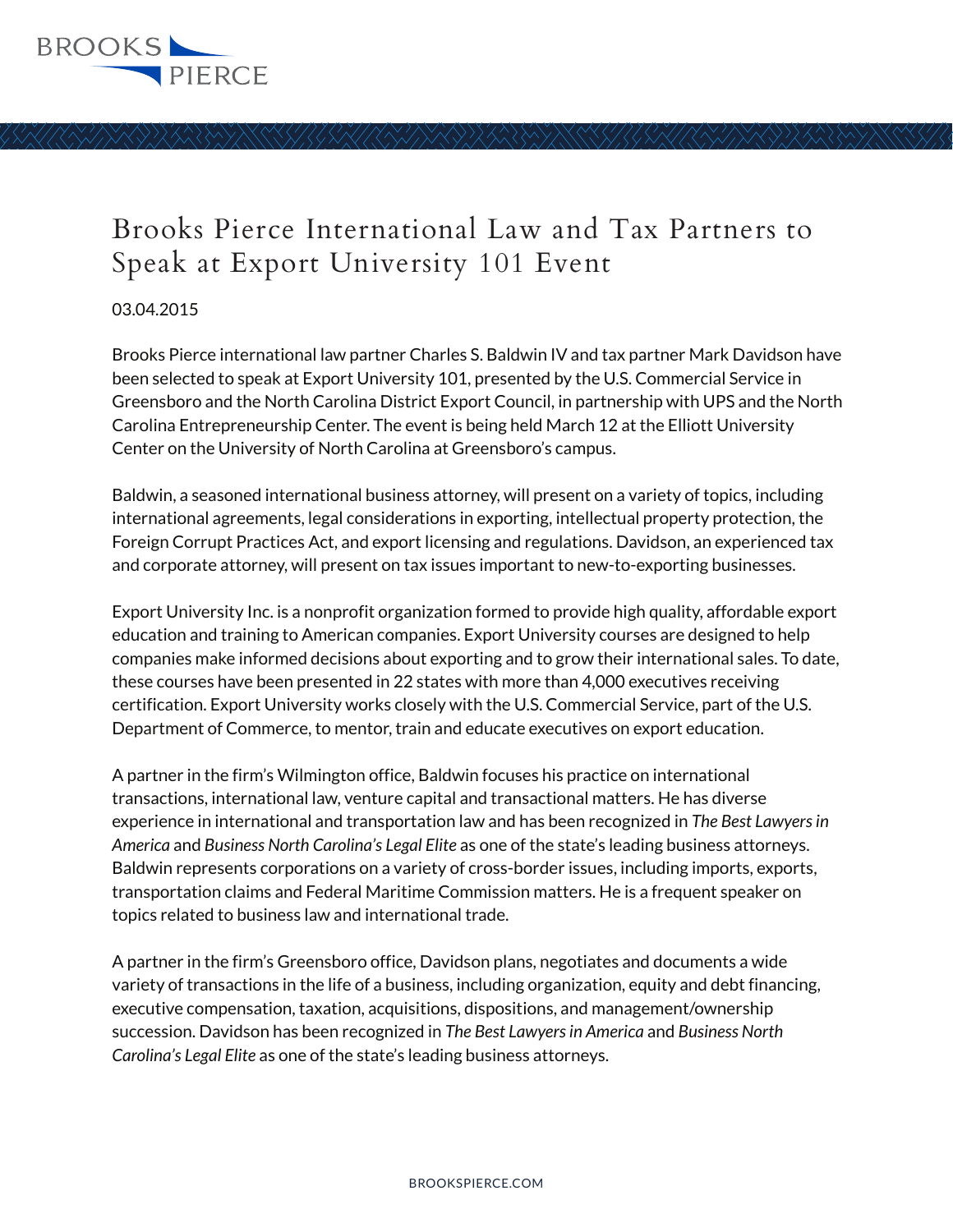

## Brooks Pierce International Law and Tax Partners to Speak at Export University 101 Event

03.04.2015

Brooks Pierce international law partner Charles S. Baldwin IV and tax partner Mark Davidson have been selected to speak at Export University 101, presented by the U.S. Commercial Service in Greensboro and the North Carolina District Export Council, in partnership with UPS and the North Carolina Entrepreneurship Center. The event is being held March 12 at the Elliott University Center on the University of North Carolina at Greensboro's campus.

Baldwin, a seasoned international business attorney, will present on a variety of topics, including international agreements, legal considerations in exporting, intellectual property protection, the Foreign Corrupt Practices Act, and export licensing and regulations. Davidson, an experienced tax and corporate attorney, will present on tax issues important to new-to-exporting businesses.

Export University Inc. is a nonprofit organization formed to provide high quality, affordable export education and training to American companies. Export University courses are designed to help companies make informed decisions about exporting and to grow their international sales. To date, these courses have been presented in 22 states with more than 4,000 executives receiving certification. Export University works closely with the U.S. Commercial Service, part of the U.S. Department of Commerce, to mentor, train and educate executives on export education.

A partner in the firm's Wilmington office, Baldwin focuses his practice on international transactions, international law, venture capital and transactional matters. He has diverse experience in international and transportation law and has been recognized in *The Best Lawyers in America* and *Business North Carolina's Legal Elite* as one of the state's leading business attorneys. Baldwin represents corporations on a variety of cross-border issues, including imports, exports, transportation claims and Federal Maritime Commission matters. He is a frequent speaker on topics related to business law and international trade.

A partner in the firm's Greensboro office, Davidson plans, negotiates and documents a wide variety of transactions in the life of a business, including organization, equity and debt financing, executive compensation, taxation, acquisitions, dispositions, and management/ownership succession. Davidson has been recognized in *The Best Lawyers in America* and *Business North Carolina's Legal Elite* as one of the state's leading business attorneys.